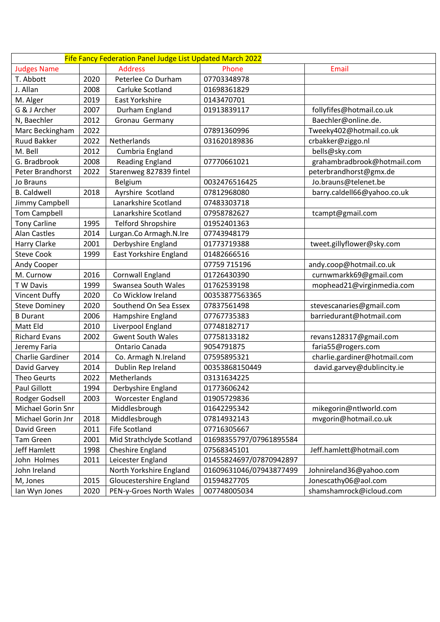| Fife Fancy Federation Panel Judge List Updated March 2022 |      |                               |                         |                              |  |  |
|-----------------------------------------------------------|------|-------------------------------|-------------------------|------------------------------|--|--|
| <b>Judges Name</b>                                        |      | <b>Address</b>                | Phone                   | Email                        |  |  |
| T. Abbott                                                 | 2020 | Peterlee Co Durham            | 07703348978             |                              |  |  |
| J. Allan                                                  | 2008 | Carluke Scotland              | 01698361829             |                              |  |  |
| M. Alger                                                  | 2019 | East Yorkshire                | 0143470701              |                              |  |  |
| G & J Archer                                              | 2007 | Durham England                | 01913839117             | follyfifes@hotmail.co.uk     |  |  |
| N, Baechler                                               | 2012 | Gronau Germany                |                         | Baechler@online.de.          |  |  |
| Marc Beckingham                                           | 2022 |                               | 07891360996             | Tweeky402@hotmail.co.uk      |  |  |
| <b>Ruud Bakker</b>                                        | 2022 | Netherlands                   | 031620189836            | crbakker@ziggo.nl            |  |  |
| M. Bell                                                   | 2012 | Cumbria England               |                         | bells@sky.com                |  |  |
| G. Bradbrook                                              | 2008 | <b>Reading England</b>        | 07770661021             | grahambradbrook@hotmail.com  |  |  |
| Peter Brandhorst                                          | 2022 | Starenweg 827839 fintel       |                         | peterbrandhorst@gmx.de       |  |  |
| Jo Brauns                                                 |      | Belgium                       | 0032476516425           | Jo.brauns@telenet.be         |  |  |
| <b>B.</b> Caldwell                                        | 2018 | Ayrshire Scotland             | 07812968080             | barry.caldell66@yahoo.co.uk  |  |  |
| Jimmy Campbell                                            |      | Lanarkshire Scotland          | 07483303718             |                              |  |  |
| <b>Tom Campbell</b>                                       |      | Lanarkshire Scotland          | 07958782627             | tcampt@gmail.com             |  |  |
| <b>Tony Carline</b>                                       | 1995 | <b>Telford Shropshire</b>     | 01952401363             |                              |  |  |
| <b>Alan Castles</b>                                       | 2014 | Lurgan.Co Armagh.N.Ire        | 07743948179             |                              |  |  |
| Harry Clarke                                              | 2001 | Derbyshire England            | 01773719388             | tweet.gillyflower@sky.com    |  |  |
| <b>Steve Cook</b>                                         | 1999 | <b>East Yorkshire England</b> | 01482666516             |                              |  |  |
| Andy Cooper                                               |      |                               | 07759 715196            | andy.coop@hotmail.co.uk      |  |  |
| M. Curnow                                                 | 2016 | Cornwall England              | 01726430390             | curnwmarkk69@gmail.com       |  |  |
| T W Davis                                                 | 1999 | Swansea South Wales           | 01762539198             | mophead21@virginmedia.com    |  |  |
| <b>Vincent Duffy</b>                                      | 2020 | Co Wicklow Ireland            | 00353877563365          |                              |  |  |
| <b>Steve Dominey</b>                                      | 2020 | Southend On Sea Essex         | 07837561498             | stevescanaries@gmail.com     |  |  |
| <b>B</b> Durant                                           | 2006 | Hampshire England             | 07767735383             | barriedurant@hotmail.com     |  |  |
| Matt Eld                                                  | 2010 | Liverpool England             | 07748182717             |                              |  |  |
| <b>Richard Evans</b>                                      | 2002 | <b>Gwent South Wales</b>      | 07758133182             | revans128317@gmail.com       |  |  |
| Jeremy Faria                                              |      | Ontario Canada                | 9054791875              | faria55@rogers.com           |  |  |
| Charlie Gardiner                                          | 2014 | Co. Armagh N.Ireland          | 07595895321             | charlie.gardiner@hotmail.com |  |  |
| David Garvey                                              | 2014 | Dublin Rep Ireland            | 00353868150449          | david.garvey@dublincity.ie   |  |  |
| <b>Theo Geurts</b>                                        | 2022 | Metherlands                   | 03131634225             |                              |  |  |
| Paul Gillott                                              | 1994 | Derbyshire England            | 01773606242             |                              |  |  |
| Rodger Godsell                                            | 2003 | <b>Worcester England</b>      | 01905729836             |                              |  |  |
| Michael Gorin Snr                                         |      | Middlesbrough                 | 01642295342             | mikegorin@ntlworld.com       |  |  |
| Michael Gorin Jnr                                         | 2018 | Middlesbrough                 | 07814932143             | mvgorin@hotmail.co.uk        |  |  |
| David Green                                               | 2011 | Fife Scotland                 | 07716305667             |                              |  |  |
| <b>Tam Green</b>                                          | 2001 | Mid Strathclyde Scotland      | 01698355797/07961895584 |                              |  |  |
| <b>Jeff Hamlett</b>                                       | 1998 | Cheshire England              | 07568345101             | Jeff.hamlett@hotmail.com     |  |  |
| John Holmes                                               | 2011 | Leicester England             | 01455824697/07870942897 |                              |  |  |
| John Ireland                                              |      | North Yorkshire England       | 01609631046/07943877499 | Johnireland36@yahoo.com      |  |  |
| M, Jones                                                  | 2015 | Gloucestershire England       | 01594827705             | Jonescathy06@aol.com         |  |  |
| Ian Wyn Jones                                             | 2020 | PEN-y-Groes North Wales       | 007748005034            | shamshamrock@icloud.com      |  |  |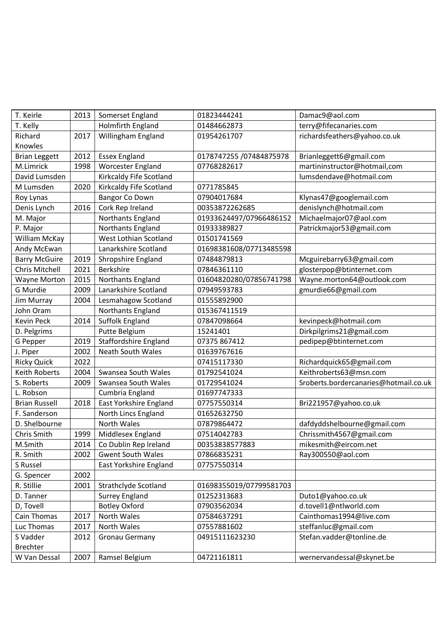| T. Keirle             | 2013 | Somerset England             | 01823444241             | Damac9@aol.com                        |
|-----------------------|------|------------------------------|-------------------------|---------------------------------------|
| T. Kelly              |      | <b>Holmfirth England</b>     | 01484662873             | terry@fifecanaries.com                |
| Richard               | 2017 | Willingham England           | 01954261707             | richardsfeathers@yahoo.co.uk          |
| Knowles               |      |                              |                         |                                       |
| <b>Brian Leggett</b>  | 2012 | <b>Essex England</b>         | 0178747255 /07484875978 | Brianleggett6@gmail.com               |
| M.Limrick             | 1998 | <b>Worcester England</b>     | 07768282617             | martininstructor@hotmail,com          |
| David Lumsden         |      | Kirkcaldy Fife Scotland      |                         | lumsdendave@hotmail.com               |
| M Lumsden             | 2020 | Kirkcaldy Fife Scotland      | 0771785845              |                                       |
| Roy Lynas             |      | Bangor Co Down               | 07904017684             | Klynas47@googlemail.com               |
| Denis Lynch           | 2016 | Cork Rep Ireland             | 00353872262685          | denislynch@hotmail.com                |
| M. Major              |      | Northants England            | 01933624497/07966486152 | Michaelmajor07@aol.com                |
| P. Major              |      | Northants England            | 01933389827             | Patrickmajor53@gmail.com              |
| William McKay         |      | West Lothian Scotland        | 01501741569             |                                       |
| Andy McEwan           |      | Lanarkshire Scotland         | 01698381608/07713485598 |                                       |
| <b>Barry McGuire</b>  | 2019 | Shropshire England           | 07484879813             | Mcguirebarry63@gmail.com              |
| <b>Chris Mitchell</b> | 2021 | <b>Berkshire</b>             | 07846361110             | glosterpop@btinternet.com             |
| <b>Wayne Morton</b>   | 2015 | Northants England            | 01604820280/07856741798 | Wayne.morton64@outlook.com            |
| G Murdie              | 2009 | Lanarkshire Scotland         | 07949593783             | gmurdie66@gmail.com                   |
| Jim Murray            | 2004 | Lesmahagow Scotland          | 01555892900             |                                       |
| John Oram             |      | Northants England            | 015367411519            |                                       |
| Kevin Peck            | 2014 | Suffolk England              | 07847098664             | kevinpeck@hotmail.com                 |
| D. Pelgrims           |      | Putte Belgium                | 15241401                | Dirkpilgrims21@gmail.com              |
| G Pepper              | 2019 | <b>Staffordshire England</b> | 07375 867412            | pedipep@btinternet.com                |
| J. Piper              | 2002 | Neath South Wales            | 01639767616             |                                       |
| <b>Ricky Quick</b>    | 2022 |                              | 07415117330             | Richardquick65@gmail.com              |
| <b>Keith Roberts</b>  | 2004 | Swansea South Wales          | 01792541024             | Keithroberts63@msn.com                |
| S. Roberts            | 2009 | Swansea South Wales          | 01729541024             | Sroberts.bordercanaries@hotmail.co.uk |
| L. Robson             |      | Cumbria England              | 01697747333             |                                       |
| <b>Brian Russell</b>  | 2018 | East Yorkshire England       | 07757550314             | Bri221957@yahoo.co.uk                 |
| F. Sanderson          |      | North Lincs England          | 01652632750             |                                       |
| D. Shelbourne         |      | North Wales                  | 07879864472             | dafdyddshelbourne@gmail.com           |
| Chris Smith           | 1999 | Middlesex England            | 07514042783             | Chrissmith4567@gmail.com              |
| M.Smith               | 2014 | Co Dublin Rep Ireland        | 00353838577883          | mikesmith@eircom.net                  |
| R. Smith              | 2002 | <b>Gwent South Wales</b>     | 07866835231             | Ray300550@aol.com                     |
| S Russel              |      | East Yorkshire England       | 07757550314             |                                       |
| G. Spencer            | 2002 |                              |                         |                                       |
| R. Stillie            | 2001 | Strathclyde Scotland         | 01698355019/07799581703 |                                       |
| D. Tanner             |      | <b>Surrey England</b>        | 01252313683             | Duto1@yahoo.co.uk                     |
| D, Tovell             |      | <b>Botley Oxford</b>         | 07903562034             | d.tovell1@ntlworld.com                |
| Cain Thomas           | 2017 | North Wales                  | 07584637291             | Cainthomas1994@live.com               |
| Luc Thomas            | 2017 | North Wales                  | 07557881602             | steffanluc@gmail.com                  |
| S Vadder              | 2012 | <b>Gronau Germany</b>        | 04915111623230          | Stefan.vadder@tonline.de              |
| <b>Brechter</b>       |      |                              |                         |                                       |
| W Van Dessal          | 2007 | Ramsel Belgium               | 04721161811             | wernervandessal@skynet.be             |